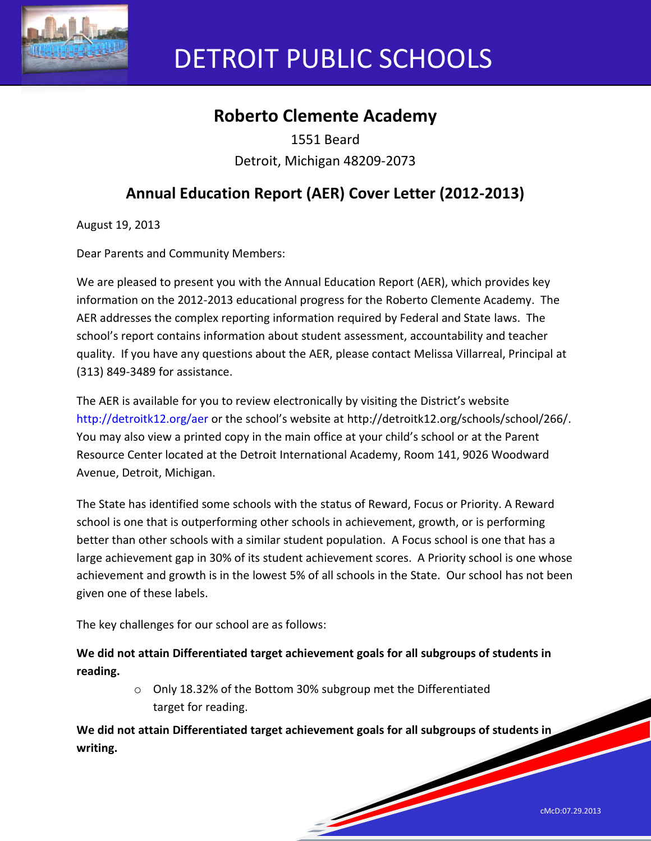

# DETROIT PUBLIC SCHOOLS

# **Roberto Clemente Academy**

1551 Beard Detroit, Michigan 48209-2073

# **Annual Education Report (AER) Cover Letter (2012-2013)**

August 19, 2013

Dear Parents and Community Members:

We are pleased to present you with the Annual Education Report (AER), which provides key information on the 2012-2013 educational progress for the Roberto Clemente Academy. The AER addresses the complex reporting information required by Federal and State laws. The school's report contains information about student assessment, accountability and teacher quality. If you have any questions about the AER, please contact Melissa Villarreal, Principal at (313) 849-3489 for assistance.

The AER is available for you to review electronically by visiting the District's website http://detroitk12.org/aer or the school's website at http://detroitk12.org/schools/school/266/. You may also view a printed copy in the main office at your child's school or at the Parent Resource Center located at the Detroit International Academy, Room 141, 9026 Woodward Avenue, Detroit, Michigan.

The State has identified some schools with the status of Reward, Focus or Priority. A Reward school is one that is outperforming other schools in achievement, growth, or is performing better than other schools with a similar student population. A Focus school is one that has a large achievement gap in 30% of its student achievement scores. A Priority school is one whose achievement and growth is in the lowest 5% of all schools in the State. Our school has not been given one of these labels.

The key challenges for our school are as follows:

**We did not attain Differentiated target achievement goals for all subgroups of students in reading.** 

> o Only 18.32% of the Bottom 30% subgroup met the Differentiated target for reading.

**We did not attain Differentiated target achievement goals for all subgroups of students in writing.** 

and the contract of the contract of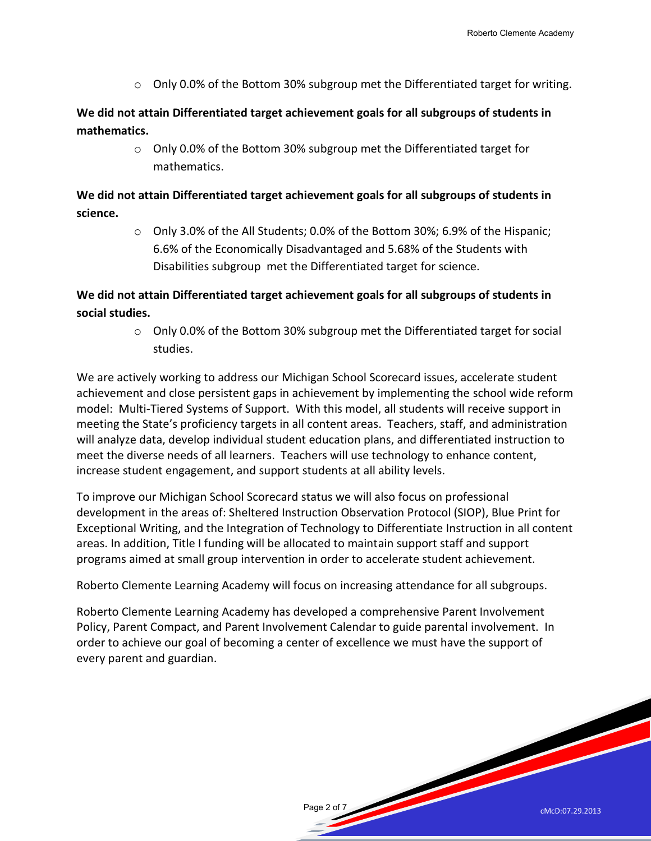cMcD:07.29.2013

 $\circ$  Only 0.0% of the Bottom 30% subgroup met the Differentiated target for writing.

**We did not attain Differentiated target achievement goals for all subgroups of students in mathematics.** 

> o Only 0.0% of the Bottom 30% subgroup met the Differentiated target for mathematics.

**We did not attain Differentiated target achievement goals for all subgroups of students in science.** 

> $\circ$  Only 3.0% of the All Students; 0.0% of the Bottom 30%; 6.9% of the Hispanic; 6.6% of the Economically Disadvantaged and 5.68% of the Students with Disabilities subgroup met the Differentiated target for science.

## **We did not attain Differentiated target achievement goals for all subgroups of students in social studies.**

 $\circ$  Only 0.0% of the Bottom 30% subgroup met the Differentiated target for social studies.

We are actively working to address our Michigan School Scorecard issues, accelerate student achievement and close persistent gaps in achievement by implementing the school wide reform model: Multi-Tiered Systems of Support. With this model, all students will receive support in meeting the State's proficiency targets in all content areas. Teachers, staff, and administration will analyze data, develop individual student education plans, and differentiated instruction to meet the diverse needs of all learners. Teachers will use technology to enhance content, increase student engagement, and support students at all ability levels.

To improve our Michigan School Scorecard status we will also focus on professional development in the areas of: Sheltered Instruction Observation Protocol (SIOP), Blue Print for Exceptional Writing, and the Integration of Technology to Differentiate Instruction in all content areas. In addition, Title I funding will be allocated to maintain support staff and support programs aimed at small group intervention in order to accelerate student achievement.

Roberto Clemente Learning Academy will focus on increasing attendance for all subgroups.

Roberto Clemente Learning Academy has developed a comprehensive Parent Involvement Policy, Parent Compact, and Parent Involvement Calendar to guide parental involvement. In order to achieve our goal of becoming a center of excellence we must have the support of every parent and guardian.

Page 2 of 7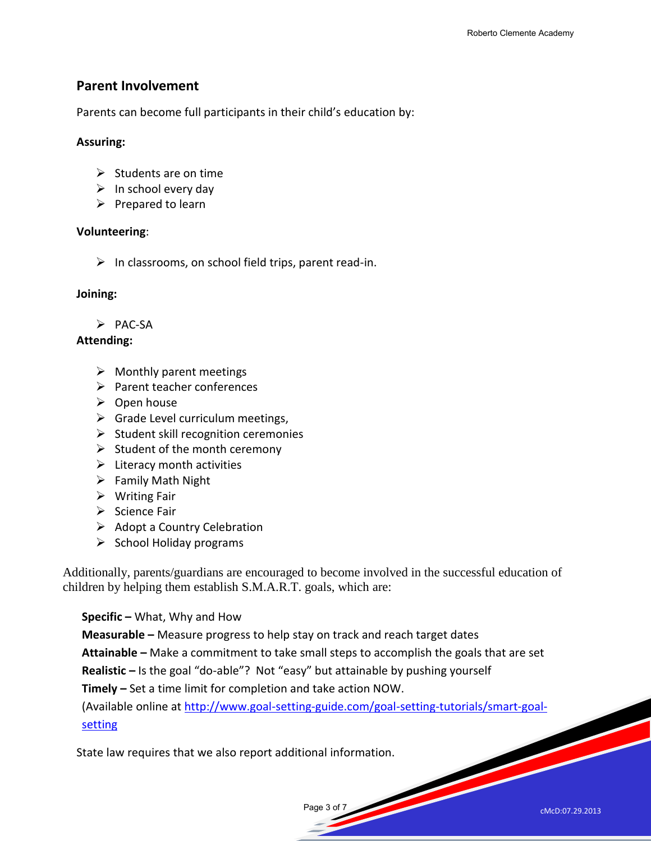#### **Parent Involvement**

Parents can become full participants in their child's education by:

#### **Assuring:**

- $\triangleright$  Students are on time
- $\triangleright$  In school every day
- $\triangleright$  Prepared to learn

#### **Volunteering**:

 $\triangleright$  In classrooms, on school field trips, parent read-in.

#### **Joining:**

 $\triangleright$  PAC-SA

#### **Attending:**

- $\triangleright$  Monthly parent meetings
- $\triangleright$  Parent teacher conferences
- $\triangleright$  Open house
- $\triangleright$  Grade Level curriculum meetings,
- $\triangleright$  Student skill recognition ceremonies
- $\triangleright$  Student of the month ceremony
- $\triangleright$  Literacy month activities
- $\triangleright$  Family Math Night
- $\triangleright$  Writing Fair
- $\triangleright$  Science Fair
- $\triangleright$  Adopt a Country Celebration
- $\triangleright$  School Holiday programs

Additionally, parents/guardians are encouraged to become involved in the successful education of children by helping them establish S.M.A.R.T. goals, which are:

**Specific –** What, Why and How

**Measurable –** Measure progress to help stay on track and reach target dates

**Attainable –** Make a commitment to take small steps to accomplish the goals that are set

**Realistic –** Is the goal "do-able"? Not "easy" but attainable by pushing yourself

**Timely –** Set a time limit for completion and take action NOW.

(Available online at [http://www.goal-setting-guide.com/goal-setting-tutorials/smart-goal](http://www.goal-setting-guide.com/goal-setting-tutorials/smart-goal-setting)[setting](http://www.goal-setting-guide.com/goal-setting-tutorials/smart-goal-setting)

State law requires that we also report additional information.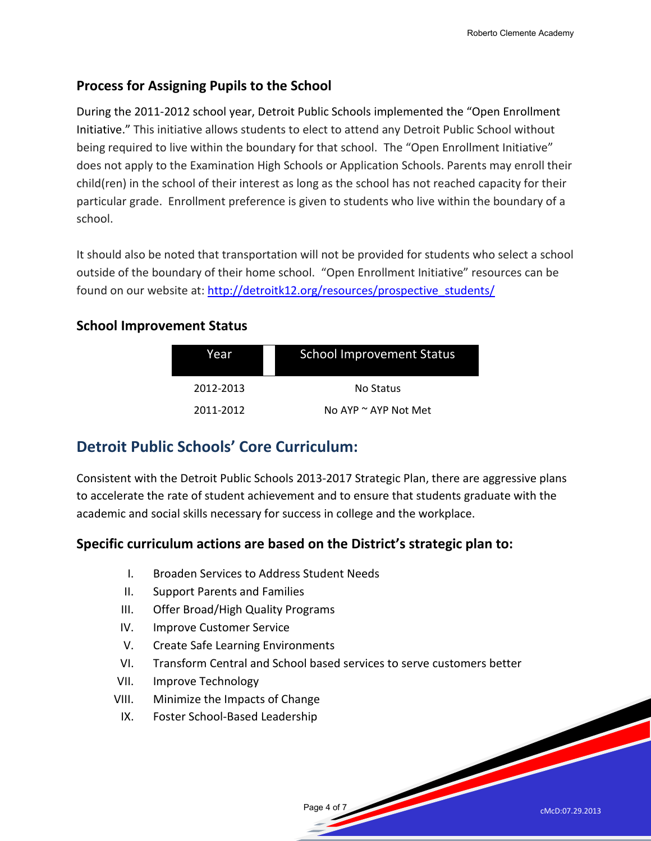# **Process for Assigning Pupils to the School**

During the 2011-2012 school year, Detroit Public Schools implemented the "Open Enrollment Initiative." This initiative allows students to elect to attend any Detroit Public School without being required to live within the boundary for that school. The "Open Enrollment Initiative" does not apply to the Examination High Schools or Application Schools. Parents may enroll their child(ren) in the school of their interest as long as the school has not reached capacity for their particular grade. Enrollment preference is given to students who live within the boundary of a school.

It should also be noted that transportation will not be provided for students who select a school outside of the boundary of their home school. "Open Enrollment Initiative" resources can be found on our website at: [http://detroitk12.org/resources/prospective\\_students/](http://detroitk12.org/resources/prospective_students/)

## **School Improvement Status**

| Year      | <b>School Improvement Status</b> |
|-----------|----------------------------------|
| 2012-2013 | No Status                        |
| 2011-2012 | No AYP $\sim$ AYP Not Met        |

# **Detroit Public Schools' Core Curriculum:**

Consistent with the Detroit Public Schools 2013-2017 Strategic Plan, there are aggressive plans to accelerate the rate of student achievement and to ensure that students graduate with the academic and social skills necessary for success in college and the workplace.

# **Specific curriculum actions are based on the District's strategic plan to:**

- I. Broaden Services to Address Student Needs
- II. Support Parents and Families
- III. Offer Broad/High Quality Programs
- IV. Improve Customer Service
- V. Create Safe Learning Environments
- VI. Transform Central and School based services to serve customers better

Page 4 of 7

- VII. Improve Technology
- VIII. Minimize the Impacts of Change
- IX. Foster School-Based Leadership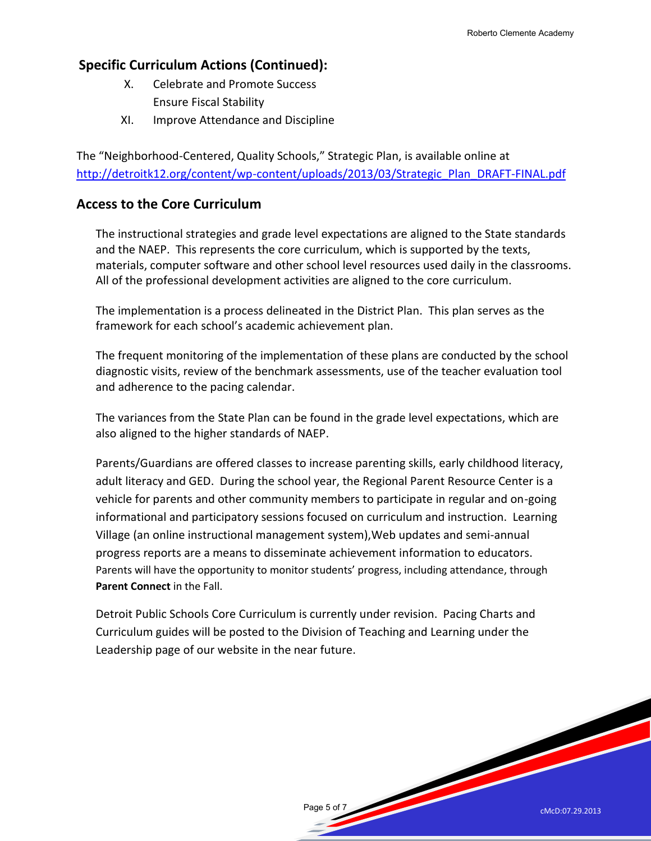# **Specific Curriculum Actions (Continued):**

- X. Celebrate and Promote Success Ensure Fiscal Stability
- XI. Improve Attendance and Discipline

The "Neighborhood-Centered, Quality Schools," Strategic Plan, is available online at [http://detroitk12.org/content/wp-content/uploads/2013/03/Strategic\\_Plan\\_DRAFT-FINAL.pdf](http://detroitk12.org/content/wp-content/uploads/2013/03/Strategic_Plan_DRAFT-FINAL.pdf)

## **Access to the Core Curriculum**

The instructional strategies and grade level expectations are aligned to the State standards and the NAEP. This represents the core curriculum, which is supported by the texts, materials, computer software and other school level resources used daily in the classrooms. All of the professional development activities are aligned to the core curriculum.

The implementation is a process delineated in the District Plan. This plan serves as the framework for each school's academic achievement plan.

The frequent monitoring of the implementation of these plans are conducted by the school diagnostic visits, review of the benchmark assessments, use of the teacher evaluation tool and adherence to the pacing calendar.

The variances from the State Plan can be found in the grade level expectations, which are also aligned to the higher standards of NAEP.

Parents/Guardians are offered classes to increase parenting skills, early childhood literacy, adult literacy and GED. During the school year, the Regional Parent Resource Center is a vehicle for parents and other community members to participate in regular and on-going informational and participatory sessions focused on curriculum and instruction. Learning Village (an online instructional management system),Web updates and semi-annual progress reports are a means to disseminate achievement information to educators. Parents will have the opportunity to monitor students' progress, including attendance, through **Parent Connect** in the Fall.

Detroit Public Schools Core Curriculum is currently under revision. Pacing Charts and Curriculum guides will be posted to the Division of Teaching and Learning under the Leadership page of our website in the near future.

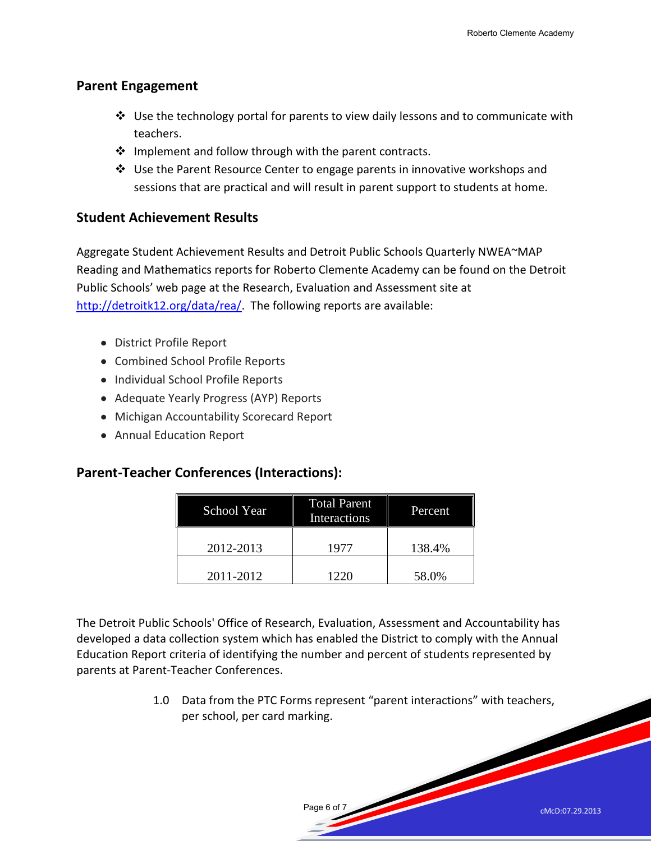#### **Parent Engagement**

- $\clubsuit$  Use the technology portal for parents to view daily lessons and to communicate with teachers.
- $\cdot \cdot$  Implement and follow through with the parent contracts.
- Use the Parent Resource Center to engage parents in innovative workshops and sessions that are practical and will result in parent support to students at home.

#### **Student Achievement Results**

Aggregate Student Achievement Results and Detroit Public Schools Quarterly NWEA~MAP Reading and Mathematics reports for Roberto Clemente Academy can be found on the Detroit Public Schools' web page at the Research, Evaluation and Assessment site at [http://detroitk12.org/data/rea/.](http://detroitk12.org/data/rea/) The following reports are available:

- District Profile Report
- Combined School Profile Reports
- Individual School Profile Reports
- Adequate Yearly Progress (AYP) Reports
- Michigan Accountability Scorecard Report
- Annual Education Report

#### **Parent-Teacher Conferences (Interactions):**

| School Year | <b>Total Parent</b><br>Interactions | Percent |
|-------------|-------------------------------------|---------|
| 2012-2013   | 1977                                | 138.4%  |
| 2011-2012   | 1220                                | 58.0%   |

The Detroit Public Schools' Office of Research, Evaluation, Assessment and Accountability has developed a data collection system which has enabled the District to comply with the Annual Education Report criteria of identifying the number and percent of students represented by parents at Parent-Teacher Conferences.

> 1.0 Data from the PTC Forms represent "parent interactions" with teachers, per school, per card marking.

> > Page 6 of 7